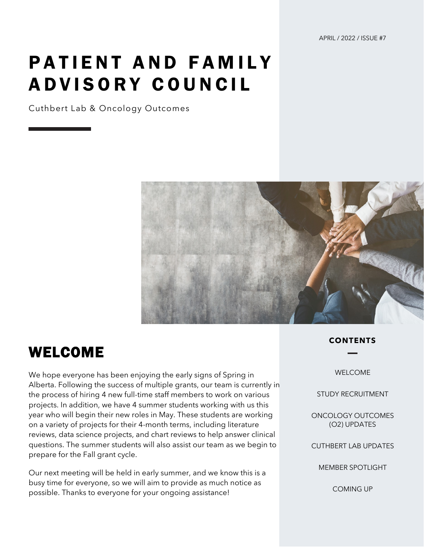# PATIENT AND FAMILY ADVISORY COUNCIL

Cuthbert Lab & Oncology Outcomes



### WELCOME

We hope everyone has been enjoying the early signs of Spring in Alberta. Following the success of multiple grants, our team is currently in the process of hiring 4 new full-time staff members to work on various projects. In addition, we have 4 summer students working with us this year who will begin their new roles in May. These students are working on a variety of projects for their 4-month terms, including literature reviews, data science projects, and chart reviews to help answer clinical questions. The summer students will also assist our team as we begin to prepare for the Fall grant cycle.

Our next meeting will be held in early summer, and we know this is a busy time for everyone, so we will aim to provide as much notice as possible. Thanks to everyone for your ongoing assistance!

### **CONTENTS**

WELCOME

STUDY RECRUITMENT

ONCOLOGY OUTCOMES (O2) UPDATES

CUTHBERT LAB UPDATES

MEMBER SPOTLIGHT

COMING UP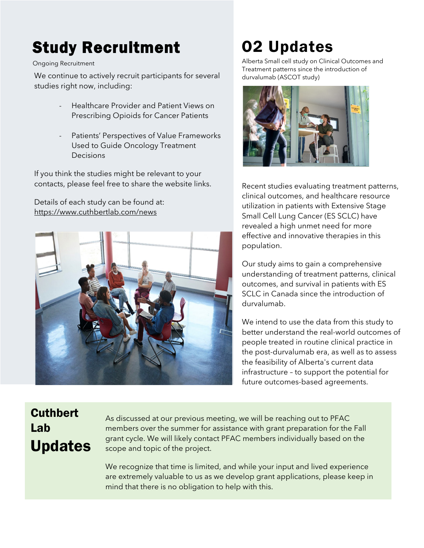# Study Recruitment

#### Ongoing Recruitment

We continue to actively recruit participants for several studies right now, including:

- Healthcare Provider and Patient Views on Prescribing Opioids for Cancer Patients
- Patients' Perspectives of Value Frameworks Used to Guide Oncology Treatment Decisions

If you think the studies might be relevant to your contacts, please feel free to share the website links.

Details of each study can be found at: <https://www.cuthbertlab.com/news>



## O2 Updates

Alberta Small cell study on Clinical Outcomes and Treatment patterns since the introduction of durvalumab (ASCOT study)



Recent studies evaluating treatment patterns, clinical outcomes, and healthcare resource utilization in patients with Extensive Stage Small Cell Lung Cancer (ES SCLC) have revealed a high unmet need for more effective and innovative therapies in this population.

Our study aims to gain a comprehensive understanding of treatment patterns, clinical outcomes, and survival in patients with ES SCLC in Canada since the introduction of durvalumab.

We intend to use the data from this study to better understand the real-world outcomes of people treated in routine clinical practice in the post-durvalumab era, as well as to assess the feasibility of Alberta's current data infrastructure – to support the potential for future outcomes-based agreements.

### **Cuthbert** Lab Updates

As discussed at our previous meeting, we will be reaching out to PFAC members over the summer for assistance with grant preparation for the Fall grant cycle. We will likely contact PFAC members individually based on the scope and topic of the project.

We recognize that time is limited, and while your input and lived experience are extremely valuable to us as we develop grant applications, please keep in mind that there is no obligation to help with this.